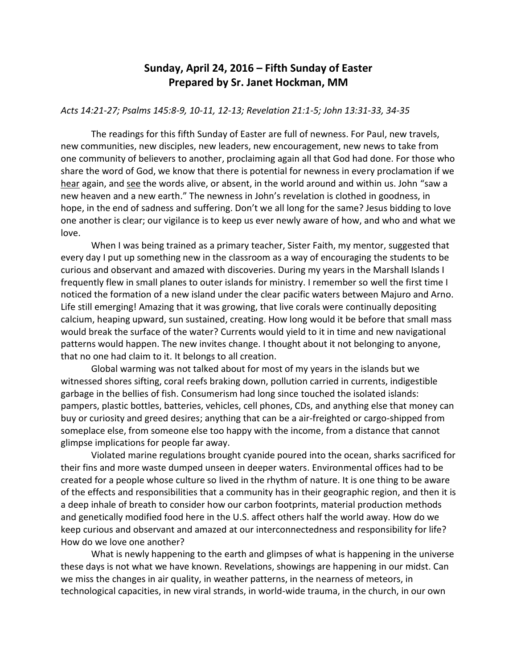## **Sunday, April 24, 2016 – Fifth Sunday of Easter Prepared by Sr. Janet Hockman, MM**

## *Acts 14:21-27; Psalms 145:8-9, 10-11, 12-13; Revelation 21:1-5; John 13:31-33, 34-35*

The readings for this fifth Sunday of Easter are full of newness. For Paul, new travels, new communities, new disciples, new leaders, new encouragement, new news to take from one community of believers to another, proclaiming again all that God had done. For those who share the word of God, we know that there is potential for newness in every proclamation if we hear again, and see the words alive, or absent, in the world around and within us. John "saw a new heaven and a new earth." The newness in John's revelation is clothed in goodness, in hope, in the end of sadness and suffering. Don't we all long for the same? Jesus bidding to love one another is clear; our vigilance is to keep us ever newly aware of how, and who and what we love.

When I was being trained as a primary teacher, Sister Faith, my mentor, suggested that every day I put up something new in the classroom as a way of encouraging the students to be curious and observant and amazed with discoveries. During my years in the Marshall Islands I frequently flew in small planes to outer islands for ministry. I remember so well the first time I noticed the formation of a new island under the clear pacific waters between Majuro and Arno. Life still emerging! Amazing that it was growing, that live corals were continually depositing calcium, heaping upward, sun sustained, creating. How long would it be before that small mass would break the surface of the water? Currents would yield to it in time and new navigational patterns would happen. The new invites change. I thought about it not belonging to anyone, that no one had claim to it. It belongs to all creation.

Global warming was not talked about for most of my years in the islands but we witnessed shores sifting, coral reefs braking down, pollution carried in currents, indigestible garbage in the bellies of fish. Consumerism had long since touched the isolated islands: pampers, plastic bottles, batteries, vehicles, cell phones, CDs, and anything else that money can buy or curiosity and greed desires; anything that can be a air-freighted or cargo-shipped from someplace else, from someone else too happy with the income, from a distance that cannot glimpse implications for people far away.

Violated marine regulations brought cyanide poured into the ocean, sharks sacrificed for their fins and more waste dumped unseen in deeper waters. Environmental offices had to be created for a people whose culture so lived in the rhythm of nature. It is one thing to be aware of the effects and responsibilities that a community has in their geographic region, and then it is a deep inhale of breath to consider how our carbon footprints, material production methods and genetically modified food here in the U.S. affect others half the world away. How do we keep curious and observant and amazed at our interconnectedness and responsibility for life? How do we love one another?

What is newly happening to the earth and glimpses of what is happening in the universe these days is not what we have known. Revelations, showings are happening in our midst. Can we miss the changes in air quality, in weather patterns, in the nearness of meteors, in technological capacities, in new viral strands, in world-wide trauma, in the church, in our own